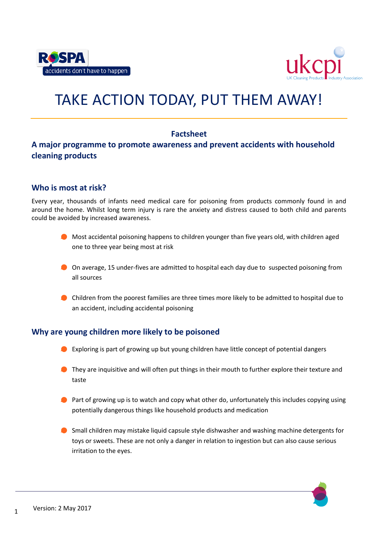



# TAKE ACTION TODAY, PUT THEM AWAY!

# **Factsheet**

# **A major programme to promote awareness and prevent accidents with household cleaning products**

## **Who is most at risk?**

Every year, thousands of infants need medical care for poisoning from products commonly found in and around the home. Whilst long term injury is rare the anxiety and distress caused to both child and parents could be avoided by increased awareness.

- **Most accidental poisoning happens to children younger than five years old, with children aged** one to three year being most at risk
- On average, 15 under-fives are admitted to hospital each day due to suspected poisoning from all sources
- Children from the poorest families are three times more likely to be admitted to hospital due to an accident, including accidental poisoning

## **Why are young children more likely to be poisoned**

- Exploring is part of growing up but young children have little concept of potential dangers
- **They are inquisitive and will often put things in their mouth to further explore their texture and** taste
- **Part of growing up is to watch and copy what other do, unfortunately this includes copying using** potentially dangerous things like household products and medication
- Small children may mistake liquid capsule style dishwasher and washing machine detergents for toys or sweets. These are not only a danger in relation to ingestion but can also cause serious irritation to the eyes.

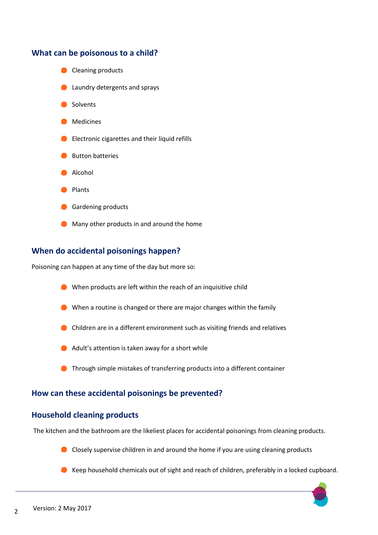

# **When do accidental poisonings happen?**

Poisoning can happen at any time of the day but more so:

- When products are left within the reach of an inquisitive child
- When a routine is changed or there are major changes within the family
- Children are in a different environment such as visiting friends and relatives
- **Adult's attention is taken away for a short while**
- **O** Through simple mistakes of transferring products into a different container

## **How can these accidental poisonings be prevented?**

## **Household cleaning products**

The kitchen and the bathroom are the likeliest places for accidental poisonings from cleaning products.

- Closely supervise children in and around the home if you are using cleaning products
- Keep household chemicals out of sight and reach of children, preferably in a locked cupboard.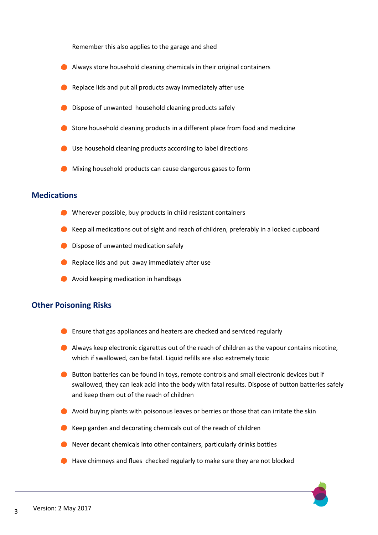Remember this also applies to the garage and shed

- Always store household cleaning chemicals in their original containers
- Replace lids and put all products away immediately after use
- **O** Dispose of unwanted household cleaning products safely
- Store household cleaning products in a different place from food and medicine
- Use household cleaning products according to label directions
- **O** Mixing household products can cause dangerous gases to form

#### **Medications**

- Wherever possible, buy products in child resistant containers
- Keep all medications out of sight and reach of children, preferably in a locked cupboard
- **Dispose of unwanted medication safely**
- Replace lids and put away immediately after use
- **Avoid keeping medication in handbags**

#### **Other Poisoning Risks**

- **Ensure that gas appliances and heaters are checked and serviced regularly**
- Always keep electronic cigarettes out of the reach of children as the vapour contains nicotine, which if swallowed, can be fatal. Liquid refills are also extremely toxic
- **Button batteries can be found in toys, remote controls and small electronic devices but if** swallowed, they can leak acid into the body with fatal results. Dispose of button batteries safely and keep them out of the reach of children
- Avoid buying plants with poisonous leaves or berries or those that can irritate the skin
- $\bullet$  Keep garden and decorating chemicals out of the reach of children
- Never decant chemicals into other containers, particularly drinks bottles
- Have chimneys and flues checked regularly to make sure they are not blocked

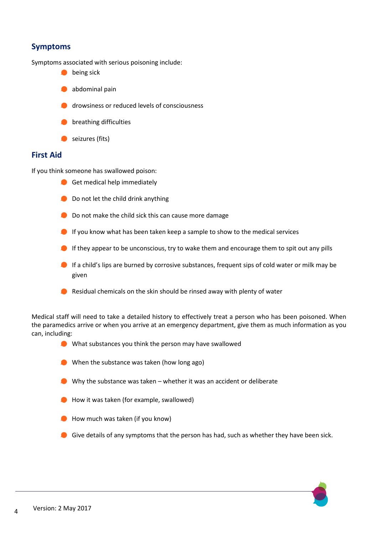# **Symptoms**

Symptoms associated with serious poisoning include:

- **being sick**
- **abdominal pain**
- **drowsiness or reduced levels of consciousness**
- **O** breathing difficulties
- seizures (fits)

## **First Aid**

If you think someone has swallowed poison:

- Get medical help immediately
- **Do not let the child drink anything**
- Do not make the child sick this can cause more damage
- If you know what has been taken keep a sample to show to the medical services
- If they appear to be unconscious, try to wake them and encourage them to spit out any pills
- If a child's lips are burned by corrosive substances, frequent sips of cold water or milk may be given
- Residual chemicals on the skin should be rinsed away with plenty of water

Medical staff will need to take a detailed history to effectively treat a person who has been poisoned. When the paramedics arrive or when you arrive at an emergency department, give them as much information as you can, including:

- What substances you think the person may have swallowed
- When the substance was taken (how long ago)
- Why the substance was taken whether it was an accident or deliberate
- **O** How it was taken (for example, swallowed)
- **O** How much was taken (if you know)
- Give details of any symptoms that the person has had, such as whether they have been sick.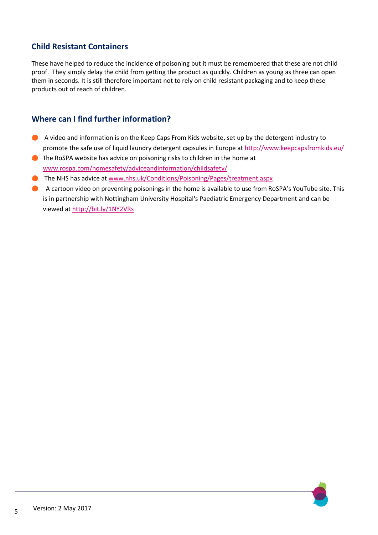# **Child Resistant Containers**

These have helped to reduce the incidence of poisoning but it must be remembered that these are not child proof. They simply delay the child from getting the product as quickly. Children as young as three can open them in seconds. It is still therefore important not to rely on child resistant packaging and to keep these products out of reach of children.

# **Where can I find further information?**

- A video and information is on the Keep Caps From Kids website, set up by the detergent industry to promote the safe use of liquid laundry detergent capsules in Europe at<http://www.keepcapsfromkids.eu/>
- The RoSPA website has advice on poisoning risks to children in the home at [www.rospa.com/homesafety/adviceandinformation/childsafety/](http://www.rospa.com/homesafety/adviceandinformation/childsafety/)
- The NHS has advice at [www.nhs.uk/Conditions/Poisoning/Pages/treatment.aspx](file://Rospa5/homesafe/Poisoning%20(TAT)%20Campaign/Launch%20Documents/Norfolk/www.nhs.uk/Conditions/Poisoning/Pages/treatment.aspx)
- A cartoon video on preventing poisonings in the home is available to use from RoSPA's YouTube site. This is in partnership with Nottingham University Hospital's Paediatric Emergency Department and can be viewed a[t http://bit.ly/1NY2VRs](http://bit.ly/1NY2VRs)